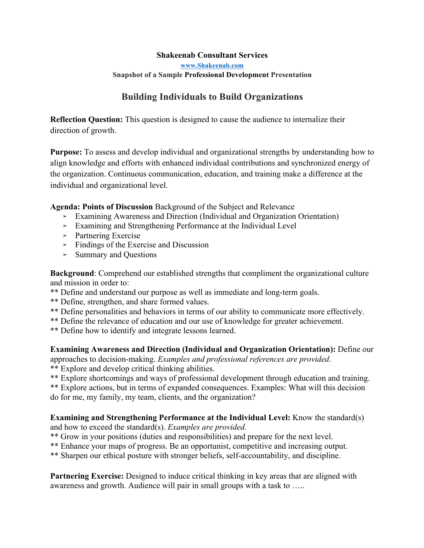### **Shakeenab Consultant Services**

**www.Shakeenab.com**

# **Snapshot of a Sample Professional Development Presentation**

# **Building Individuals to Build Organizations**

**Reflection Question:** This question is designed to cause the audience to internalize their direction of growth.

**Purpose:** To assess and develop individual and organizational strengths by understanding how to align knowledge and efforts with enhanced individual contributions and synchronized energy of the organization. Continuous communication, education, and training make a difference at the individual and organizational level.

**Agenda: Points of Discussion** Background of the Subject and Relevance

- ➢ Examining Awareness and Direction (Individual and Organization Orientation)
- ➢ Examining and Strengthening Performance at the Individual Level
- ➢ Partnering Exercise
- ➢ Findings of the Exercise and Discussion
- ➢ Summary and Questions

**Background**: Comprehend our established strengths that compliment the organizational culture and mission in order to:

\*\* Define and understand our purpose as well as immediate and long-term goals.

- \*\* Define, strengthen, and share formed values.
- \*\* Define personalities and behaviors in terms of our ability to communicate more effectively.
- \*\* Define the relevance of education and our use of knowledge for greater achievement.
- \*\* Define how to identify and integrate lessons learned.

**Examining Awareness and Direction (Individual and Organization Orientation):** Define our approaches to decision-making. *Examples and professional references are provided*.

- \*\* Explore and develop critical thinking abilities.
- \*\* Explore shortcomings and ways of professional development through education and training.

\*\* Explore actions, but in terms of expanded consequences. Examples: What will this decision do for me, my family, my team, clients, and the organization?

# **Examining and Strengthening Performance at the Individual Level:** Know the standard(s) and how to exceed the standard(s). *Examples are provided.*

- \*\* Grow in your positions (duties and responsibilities) and prepare for the next level.
- \*\* Enhance your maps of progress. Be an opportunist, competitive and increasing output.
- \*\* Sharpen our ethical posture with stronger beliefs, self-accountability, and discipline.

**Partnering Exercise:** Designed to induce critical thinking in key areas that are aligned with awareness and growth. Audience will pair in small groups with a task to …..